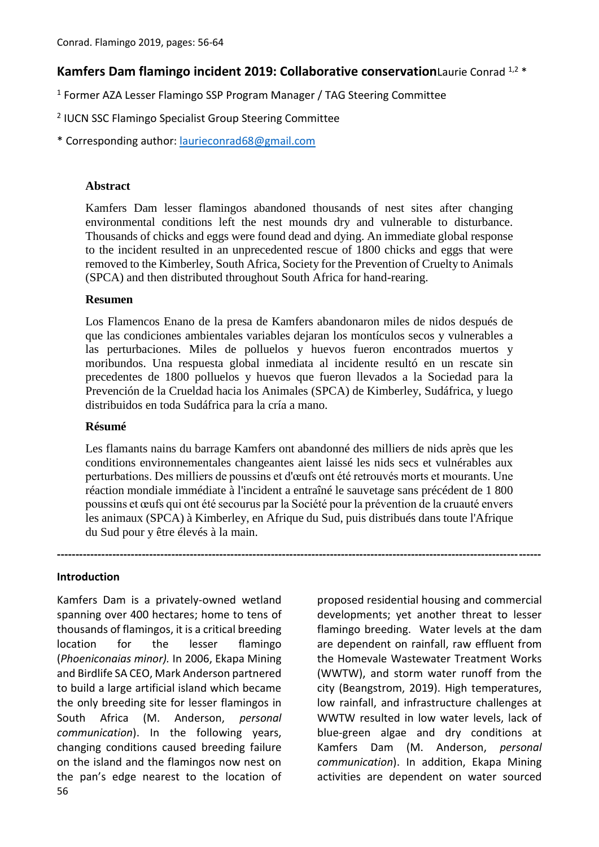# **Kamfers Dam flamingo incident 2019: Collaborative conservation**Laurie Conrad 1,2 \*

<sup>1</sup> Former AZA Lesser Flamingo SSP Program Manager / TAG Steering Committee

- 2 IUCN SSC Flamingo Specialist Group Steering Committee
- \* Corresponding author: [laurieconrad68@gmail.com](mailto:laurieconrad68@gmail.com)

#### **Abstract**

Kamfers Dam lesser flamingos abandoned thousands of nest sites after changing environmental conditions left the nest mounds dry and vulnerable to disturbance. Thousands of chicks and eggs were found dead and dying. An immediate global response to the incident resulted in an unprecedented rescue of 1800 chicks and eggs that were removed to the Kimberley, South Africa, Society for the Prevention of Cruelty to Animals (SPCA) and then distributed throughout South Africa for hand-rearing.

### **Resumen**

Los Flamencos Enano de la presa de Kamfers abandonaron miles de nidos después de que las condiciones ambientales variables dejaran los montículos secos y vulnerables a las perturbaciones. Miles de polluelos y huevos fueron encontrados muertos y moribundos. Una respuesta global inmediata al incidente resultó en un rescate sin precedentes de 1800 polluelos y huevos que fueron llevados a la Sociedad para la Prevención de la Crueldad hacia los Animales (SPCA) de Kimberley, Sudáfrica, y luego distribuidos en toda Sudáfrica para la cría a mano.

#### **Résumé**

Les flamants nains du barrage Kamfers ont abandonné des milliers de nids après que les conditions environnementales changeantes aient laissé les nids secs et vulnérables aux perturbations. Des milliers de poussins et d'œufs ont été retrouvés morts et mourants. Une réaction mondiale immédiate à l'incident a entraîné le sauvetage sans précédent de 1 800 poussins et œufs qui ont été secourus par la Société pour la prévention de la cruauté envers les animaux (SPCA) à Kimberley, en Afrique du Sud, puis distribués dans toute l'Afrique du Sud pour y être élevés à la main.

**-----------------------------------------------------------------------------------------------------------------------------------**

#### **Introduction**

56 Kamfers Dam is a privately-owned wetland spanning over 400 hectares; home to tens of thousands of flamingos, it is a critical breeding location for the lesser flamingo (*Phoeniconaias minor).* In 2006, Ekapa Mining and Birdlife SA CEO, Mark Anderson partnered to build a large artificial island which became the only breeding site for lesser flamingos in South Africa (M. Anderson, *personal communication*). In the following years, changing conditions caused breeding failure on the island and the flamingos now nest on the pan's edge nearest to the location of

proposed residential housing and commercial developments; yet another threat to lesser flamingo breeding. Water levels at the dam are dependent on rainfall, raw effluent from the Homevale Wastewater Treatment Works (WWTW), and storm water runoff from the city (Beangstrom, 2019). High temperatures, low rainfall, and infrastructure challenges at WWTW resulted in low water levels, lack of blue-green algae and dry conditions at Kamfers Dam (M. Anderson, *personal communication*). In addition, Ekapa Mining activities are dependent on water sourced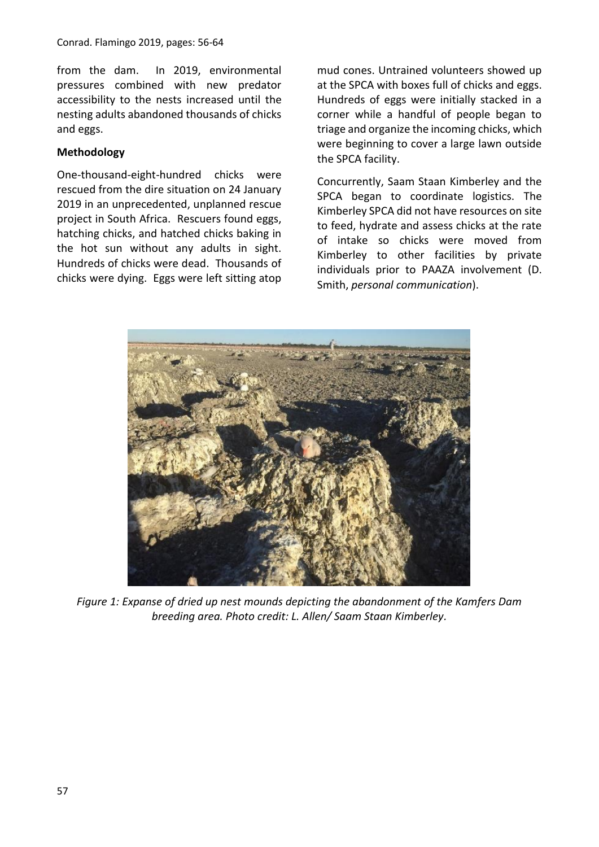from the dam. In 2019, environmental pressures combined with new predator accessibility to the nests increased until the nesting adults abandoned thousands of chicks and eggs.

## **Methodology**

One-thousand-eight-hundred chicks were rescued from the dire situation on 24 January 2019 in an unprecedented, unplanned rescue project in South Africa. Rescuers found eggs, hatching chicks, and hatched chicks baking in the hot sun without any adults in sight. Hundreds of chicks were dead. Thousands of chicks were dying. Eggs were left sitting atop mud cones. Untrained volunteers showed up at the SPCA with boxes full of chicks and eggs. Hundreds of eggs were initially stacked in a corner while a handful of people began to triage and organize the incoming chicks, which were beginning to cover a large lawn outside the SPCA facility.

Concurrently, Saam Staan Kimberley and the SPCA began to coordinate logistics. The Kimberley SPCA did not have resources on site to feed, hydrate and assess chicks at the rate of intake so chicks were moved from Kimberley to other facilities by private individuals prior to PAAZA involvement (D. Smith, *personal communication*).



*Figure 1: Expanse of dried up nest mounds depicting the abandonment of the Kamfers Dam breeding area. Photo credit: L. Allen/ Saam Staan Kimberley.*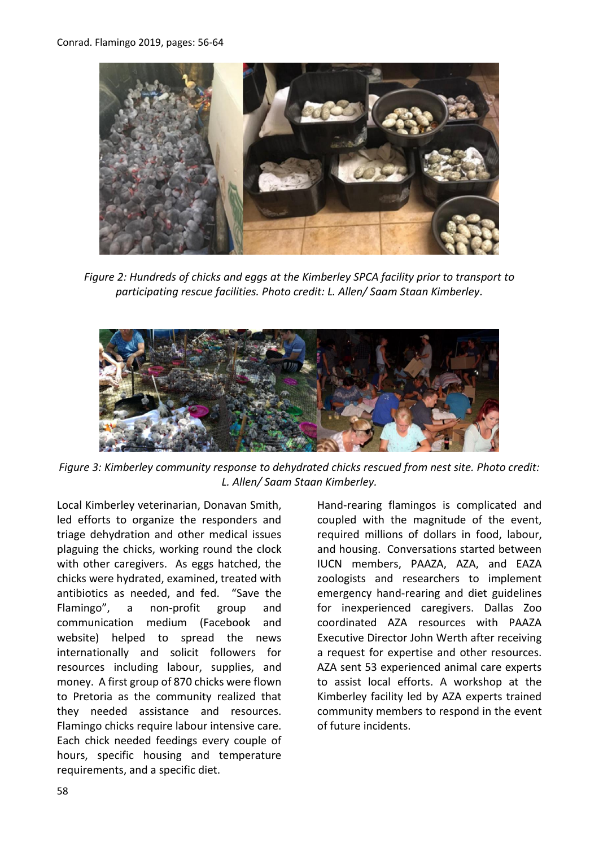

*Figure 2: Hundreds of chicks and eggs at the Kimberley SPCA facility prior to transport to participating rescue facilities. Photo credit: L. Allen/ Saam Staan Kimberley.*



*Figure 3: Kimberley community response to dehydrated chicks rescued from nest site. Photo credit: L. Allen/ Saam Staan Kimberley.*

Local Kimberley veterinarian, Donavan Smith, led efforts to organize the responders and triage dehydration and other medical issues plaguing the chicks, working round the clock with other caregivers. As eggs hatched, the chicks were hydrated, examined, treated with antibiotics as needed, and fed. "Save the Flamingo", a non-profit group and communication medium (Facebook and website) helped to spread the news internationally and solicit followers for resources including labour, supplies, and money. A first group of 870 chicks were flown to Pretoria as the community realized that they needed assistance and resources. Flamingo chicks require labour intensive care. Each chick needed feedings every couple of hours, specific housing and temperature requirements, and a specific diet.

Hand-rearing flamingos is complicated and coupled with the magnitude of the event, required millions of dollars in food, labour, and housing. Conversations started between IUCN members, PAAZA, AZA, and EAZA zoologists and researchers to implement emergency hand-rearing and diet guidelines for inexperienced caregivers. Dallas Zoo coordinated AZA resources with PAAZA Executive Director John Werth after receiving a request for expertise and other resources. AZA sent 53 experienced animal care experts to assist local efforts. A workshop at the Kimberley facility led by AZA experts trained community members to respond in the event of future incidents.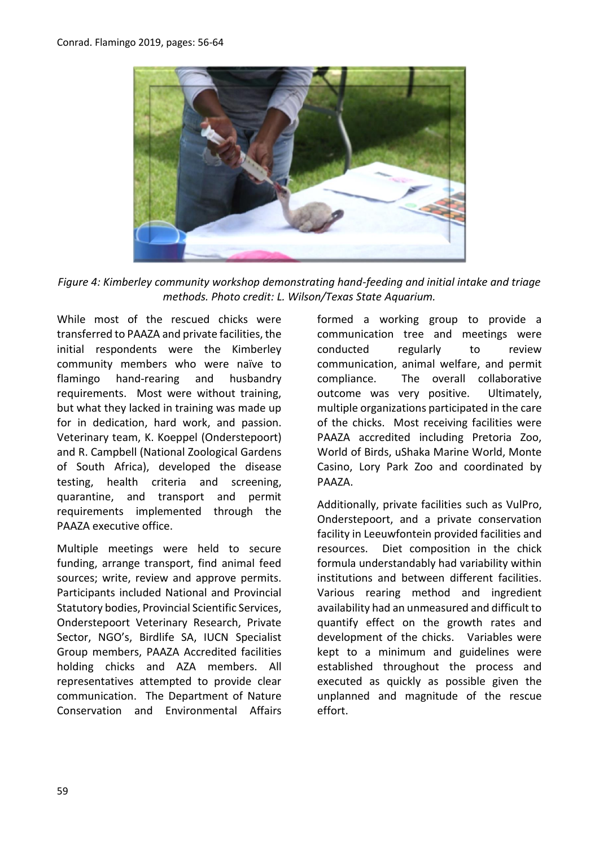

*Figure 4: Kimberley community workshop demonstrating hand-feeding and initial intake and triage methods. Photo credit: L. Wilson/Texas State Aquarium.*

While most of the rescued chicks were transferred to PAAZA and private facilities, the initial respondents were the Kimberley community members who were naïve to flamingo hand-rearing and husbandry requirements. Most were without training, but what they lacked in training was made up for in dedication, hard work, and passion. Veterinary team, K. Koeppel (Onderstepoort) and R. Campbell (National Zoological Gardens of South Africa), developed the disease testing, health criteria and screening, quarantine, and transport and permit requirements implemented through the PAAZA executive office.

Multiple meetings were held to secure funding, arrange transport, find animal feed sources; write, review and approve permits. Participants included National and Provincial Statutory bodies, Provincial Scientific Services, Onderstepoort Veterinary Research, Private Sector, NGO's, Birdlife SA, IUCN Specialist Group members, PAAZA Accredited facilities holding chicks and AZA members. All representatives attempted to provide clear communication. The Department of Nature Conservation and Environmental Affairs formed a working group to provide a communication tree and meetings were conducted regularly to review communication, animal welfare, and permit compliance. The overall collaborative outcome was very positive. Ultimately, multiple organizations participated in the care of the chicks. Most receiving facilities were PAAZA accredited including Pretoria Zoo, World of Birds, uShaka Marine World, Monte Casino, Lory Park Zoo and coordinated by PAAZA.

Additionally, private facilities such as VulPro, Onderstepoort, and a private conservation facility in Leeuwfontein provided facilities and resources. Diet composition in the chick formula understandably had variability within institutions and between different facilities. Various rearing method and ingredient availability had an unmeasured and difficult to quantify effect on the growth rates and development of the chicks. Variables were kept to a minimum and guidelines were established throughout the process and executed as quickly as possible given the unplanned and magnitude of the rescue effort.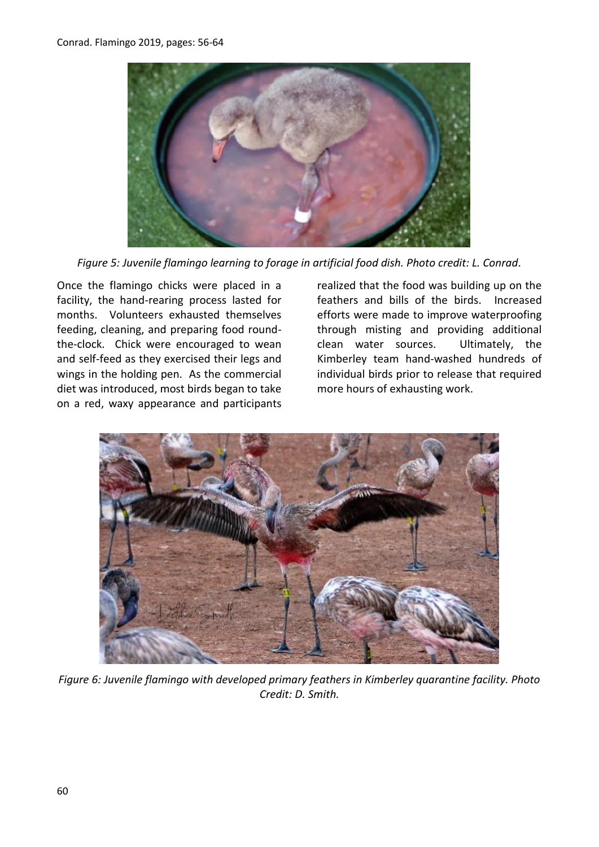

*Figure 5: Juvenile flamingo learning to forage in artificial food dish. Photo credit: L. Conrad.*

Once the flamingo chicks were placed in a facility, the hand-rearing process lasted for months. Volunteers exhausted themselves feeding, cleaning, and preparing food roundthe-clock. Chick were encouraged to wean and self-feed as they exercised their legs and wings in the holding pen. As the commercial diet was introduced, most birds began to take on a red, waxy appearance and participants

realized that the food was building up on the feathers and bills of the birds. Increased efforts were made to improve waterproofing through misting and providing additional clean water sources. Ultimately, the Kimberley team hand-washed hundreds of individual birds prior to release that required more hours of exhausting work.



*Figure 6: Juvenile flamingo with developed primary feathers in Kimberley quarantine facility. Photo Credit: D. Smith.*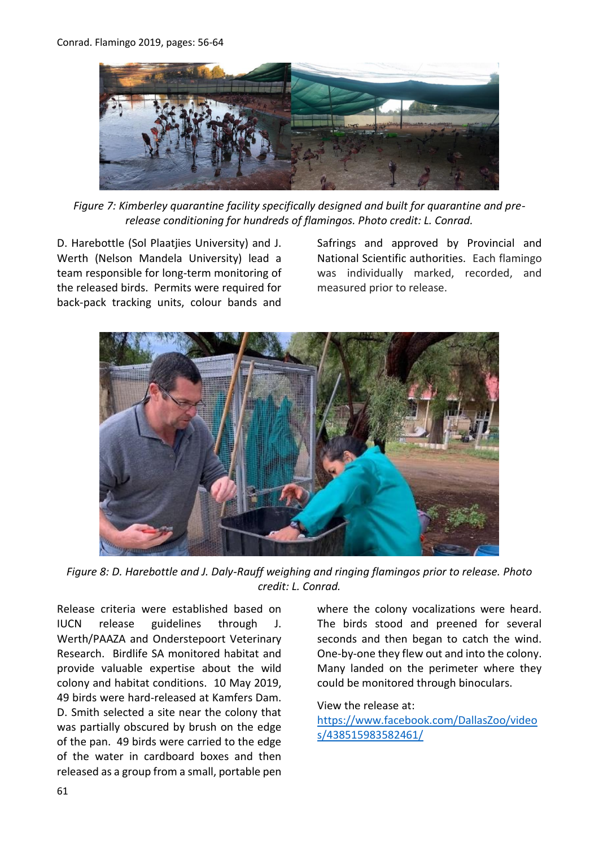

*Figure 7: Kimberley quarantine facility specifically designed and built for quarantine and prerelease conditioning for hundreds of flamingos. Photo credit: L. Conrad.*

D. Harebottle (Sol Plaatjies University) and J. Werth (Nelson Mandela University) lead a team responsible for long-term monitoring of the released birds. Permits were required for back-pack tracking units, colour bands and Safrings and approved by Provincial and National Scientific authorities. Each flamingo was individually marked, recorded, and measured prior to release.



*Figure 8: D. Harebottle and J. Daly-Rauff weighing and ringing flamingos prior to release. Photo credit: L. Conrad.*

Release criteria were established based on IUCN release guidelines through J. Werth/PAAZA and Onderstepoort Veterinary Research. Birdlife SA monitored habitat and provide valuable expertise about the wild colony and habitat conditions. 10 May 2019, 49 birds were hard-released at Kamfers Dam. D. Smith selected a site near the colony that was partially obscured by brush on the edge of the pan. 49 birds were carried to the edge of the water in cardboard boxes and then released as a group from a small, portable pen

where the colony vocalizations were heard. The birds stood and preened for several seconds and then began to catch the wind. One-by-one they flew out and into the colony. Many landed on the perimeter where they could be monitored through binoculars.

#### View the release at:

[https://www.facebook.com/DallasZoo/video](https://www.facebook.com/DallasZoo/videos/438515983582461/) [s/438515983582461/](https://www.facebook.com/DallasZoo/videos/438515983582461/)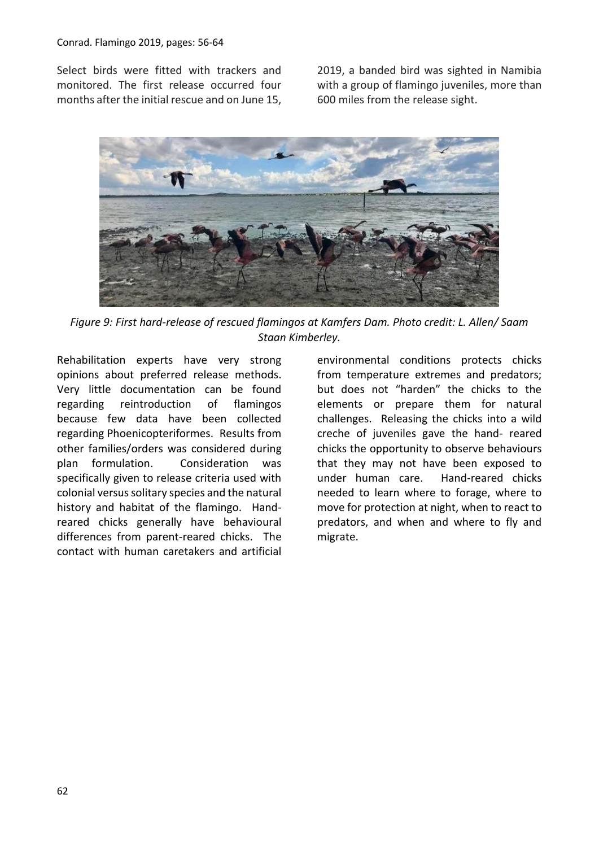Select birds were fitted with trackers and monitored. The first release occurred four months after the initial rescue and on June 15, 2019, a banded bird was sighted in Namibia with a group of flamingo juveniles, more than 600 miles from the release sight.



*Figure 9: First hard-release of rescued flamingos at Kamfers Dam. Photo credit: L. Allen/ Saam Staan Kimberley.*

Rehabilitation experts have very strong opinions about preferred release methods. Very little documentation can be found regarding reintroduction of flamingos because few data have been collected regarding Phoenicopteriformes. Results from other families/orders was considered during plan formulation. Consideration was specifically given to release criteria used with colonial versus solitary species and the natural history and habitat of the flamingo. Handreared chicks generally have behavioural differences from parent-reared chicks. The contact with human caretakers and artificial

environmental conditions protects chicks from temperature extremes and predators; but does not "harden" the chicks to the elements or prepare them for natural challenges. Releasing the chicks into a wild creche of juveniles gave the hand- reared chicks the opportunity to observe behaviours that they may not have been exposed to under human care. Hand-reared chicks needed to learn where to forage, where to move for protection at night, when to react to predators, and when and where to fly and migrate.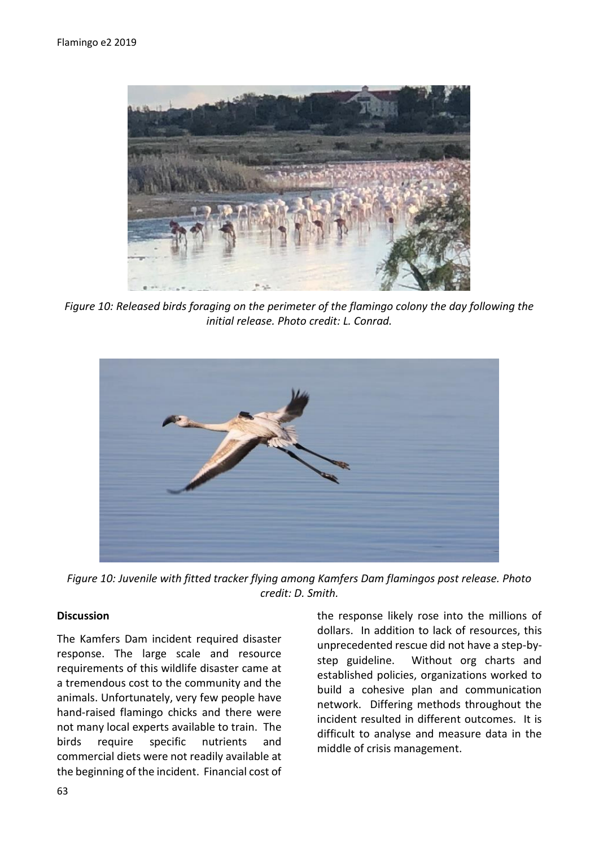

*Figure 10: Released birds foraging on the perimeter of the flamingo colony the day following the initial release. Photo credit: L. Conrad.*



*Figure 10: Juvenile with fitted tracker flying among Kamfers Dam flamingos post release. Photo credit: D. Smith.*

#### **Discussion**

The Kamfers Dam incident required disaster response. The large scale and resource requirements of this wildlife disaster came at a tremendous cost to the community and the animals. Unfortunately, very few people have hand-raised flamingo chicks and there were not many local experts available to train. The birds require specific nutrients and commercial diets were not readily available at the beginning of the incident. Financial cost of the response likely rose into the millions of dollars. In addition to lack of resources, this unprecedented rescue did not have a step-bystep guideline. Without org charts and established policies, organizations worked to build a cohesive plan and communication network. Differing methods throughout the incident resulted in different outcomes. It is difficult to analyse and measure data in the middle of crisis management.